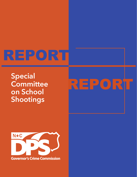## REPORT

**Special Committee on School Shootings**

# **REPORT**

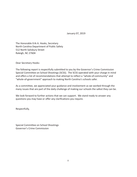January 07, 2019

The Honorable Erik A. Hooks, Secretary North Carolina Department of Public Safety 512 North Salisbury Street Raleigh, NC 27604

Dear Secretary Hooks:

The following report is respectfully submitted to you by the Governor's Crime Commission Special Committee on School Shootings (SCSS). The SCSS operated with your charge in mind and offers a list of recommendations that attempt to reflect a "whole-of-community" and "whole-of-government" approach to making North Carolina's schools safer.

As a committee, we appreciated your guidance and involvement as we worked through the many issues that are part of the daily challenge of making our schools the safest they can be.

We look forward to further actions that we can support. We stand ready to answer any questions you may have or offer any clarifications you require.

Respectfully,

Special Committee on School Shootings Governor's Crime Commission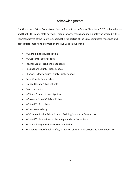## Acknowledgments

The Governor's Crime Commission Special Committee on School Shootings (SCSS) acknowledges and thanks the many state agencies, organizations, groups and individuals who worked with us. Representatives of the following shared their expertise at the SCSS committee meetings and contributed important information that we used in our work:

- NC School Boards Association
- NC Center for Safer Schools
- Panther Creek High School Students
- Rockingham County Public Schools
- Charlotte-Mecklenburg County Public Schools
- Davie County Public Schools
- Orange County Public Schools
- Duke University
- NC State Bureau of Investigation
- NC Association of Chiefs of Police
- NC Sheriffs' Association
- NC Justice Academy
- NC Criminal Justice Education and Training Standards Commission
- NC Sheriffs' Education and Training Standards Commission
- NC State Emergency Response Commission
- NC Department of Public Safety Division of Adult Correction and Juvenile Justice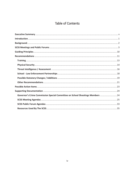## Table of Contents

| Governor's Crime Commission Special Committee on School Shootings Members  24 |  |
|-------------------------------------------------------------------------------|--|
|                                                                               |  |
|                                                                               |  |
|                                                                               |  |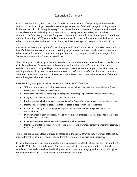## Executive Summary

In 2018, North Carolina, like other states, found itself in the position of responding with statewide actions to school shootings. Several efforts emerged as a result of these shootings, including a request by Department of Public Safety Secretary Erik A. Hooks that the Governor's Crime Commission establish a special committee to develop recommendations to strengthen school safety with a "whole of community" / "whole of government" approach. Announced on April 19, 2018, the Special Committee on School Shootings (SCSS), comprised of representatives from law enforcement, juvenile justice, courts, schools, state agencies, and other stakeholders, held five meetings and two public forums in 2018.

Co-chaired by Gaston County Sheriff Alan Cloninger and Wake County Sheriff Donnie Harrison, the SCSS identified five themes to frame its work: training; physical security; threat intelligence / assessment; school - law enforcement partnerships; and possible statutory changes. An additional category for "Other Recommendations" was also established.

The SCSS applied consistency, uniformity, standardization, and common sense as drivers to its decisions. Articulating the need for consistent understanding and terminology, uniformity in actions, and standardization via training and legislation when appropriate were noted as particularly important in defining and describing how law enforcement needs to perform in its safe school efforts. Noting that "common sense isn't so common," the co-chairs were determined to use the reality check of common sense throughout the SCSS's work.

Eleven Guiding Principles served as the foundation for the SCSS's efforts:

- "I" (meaning everyone, including law enforcement and school personnel, students and parents) have responsibility for keeping schools safe
- Input from everyone is needed as putting together different perspectives enhances understanding
- Integrity in conduct and practices is valued and practiced
- Involvement in multiple approaches is essential as the "causes" of school violence are multiple in nature
- Integrated approaches are best…ones that are based in cooperation and collaboration
- Information sharing is critical and providing methods for information sharing is key to effective communication
- Improvement in current practices as well as innovative new practices should be supported when evidence of effectiveness is provided
- Investigative approaches are valuable in preventing school violence
- Intentional efforts help with preventing school violence, and preventing school violence is the best way to make schools safer

The meetings and public forums played critical roles in the SCSS's effort as they were well attended by many different stakeholders representing different viewpoints, expertise, and experiences.

In the following report, 22 recommendations are categorized into the five SCSS themes with another 11 placed in "Other Recommendations." Consideration of identifying recommendations that might be acted on immediately as well as the development of a statewide strategic plan for school safety given the many efforts in the state are conclusions offered in the report.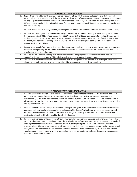| <b>TRAINING RECOMMENDATIONS</b> |                                                                                                                                                                                                                                                                                                                                                                                                                                                                                                             |
|---------------------------------|-------------------------------------------------------------------------------------------------------------------------------------------------------------------------------------------------------------------------------------------------------------------------------------------------------------------------------------------------------------------------------------------------------------------------------------------------------------------------------------------------------------|
| 1.                              | Support Training & Standards changes in School Resource Officer (SRO) training and recommend that qualified<br>personnel be able to train SROs with the NC Justice Academy (NCJSA) course at community colleges and other venues<br>as long as qualified trainers and approved materials are used. (NOTE: Qualified trainers are those recognized by the<br>NCJA and meet standards that reflect being certified instructors, completion of SRO training and completion of train-<br>the-trainer training.) |
| 2.                              | Enhance mental health training for SROs, including but not limited to community specific Crisis Intervention Training.                                                                                                                                                                                                                                                                                                                                                                                      |
| 3.                              | Enhance SRO training with Family Educational Rights and Privacy Act (FERPA) training as described by the NC School<br>Boards Association (NCSBA). Recommend that NCSBA work with the NC Justice Academy to develop strategy for this<br>so that it is taught as part of SRO training. NOTE: Generating awareness and understanding of Health Information<br>Portability and Accountability Act (HIPAA) in SRO training should also take place per Department of Health and<br>Human Services (DHHS) input.  |
| 4.                              | Engage professionals from various disciplines (law, education, social work, mental health) to develop a best practices<br>model for distinguishing the difference between bad behavior and criminal conduct. Include results as a part of SRO<br>training and training of educators.                                                                                                                                                                                                                        |
| 5.                              | Endorse law enforcement training that reflects best practices and prepares law enforcement for immediate "no<br>waiting" active shooter response. This includes single responder to active shooter incident.                                                                                                                                                                                                                                                                                                |
| 6.                              | Train SROs to be able to teach the schools to which they are assigned how to respond (run, hide fight) to an active<br>shooter crisis and strategies to implement as the initial responders to help mitigate casualties.                                                                                                                                                                                                                                                                                    |

#### **PHYSICAL SECURITY RECOMMENDATIONS**

- 7. Require vulnerability assessments to be done. Such needs assessments should consider the placement and use of equipment such as metal detectors, alarm systems, hardened entrances, visible signage and cameras / video surveillance. (NOTE: metal detectors should NOT be manned by SROs. Camera placement should be considered in all parts of a school, including classrooms.) Such assessments should also note single access policies and controls that are in place at each school.
- 8. Employ Crime Prevention Through Environmental Design (CPTED) and its four principles (natural surveillance; natural access control; territorial reinforcement; and maintenance) to "harden" schools that are being built or renovated. Consider the development of code specifications that recognize "security certification" of schools. Review and designation of such certification shall be done by third parties.

9. Enhance active shooter drills and require that local schools, law enforcement agencies, and emergency responders work together on such drills. Local authorities (local schools, law enforcement agencies, and emergency responders) shall together determine whether and to what extent students participate. These same authorities shall decide together what drill approach to practice which, at a minimum, shall be a tabletop exercise with walkthroughs, partial drills, or full drills considered and full drills the preferred approach. Note also that having more than one drill per year is recommended in order to prepare for possible incidents. A monitoring and reporting process to document these drills needs to be established.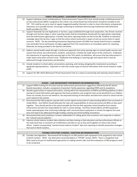|     | THREAT INTELLIGENCE / ASSESSMENT RECOMMENDATIONS                                                                                                                                                                                                                                                                                                                                                                                                                                                                                                                                                                                                                                                                                                                                   |
|-----|------------------------------------------------------------------------------------------------------------------------------------------------------------------------------------------------------------------------------------------------------------------------------------------------------------------------------------------------------------------------------------------------------------------------------------------------------------------------------------------------------------------------------------------------------------------------------------------------------------------------------------------------------------------------------------------------------------------------------------------------------------------------------------|
| 10. | Support individual school multidisciplinary Threat Assessment Teams (TATs) that should include certified personnel. If<br>no law enforcement (SRO) is assigned to the school, non-school-based law enforcement should be included on the<br>TAT. TATs shall be set up to meet at regular (suggested weekly) intervals in order to share information and generate<br>awareness as to possible threats. Encourage connecting to treatment and ensuring involvement with behavioral<br>health providers for TATs.                                                                                                                                                                                                                                                                     |
| 11. | Support Statewide Tip Line Application or tip lines / apps established through local cooperation. Any threats received<br>through such tip lines /apps or other reporting media shall be immediately shared with the appropriate responding<br>local law enforcement agency(cies). Consider how these reporting media can link to the SBI. Establish an education<br>campaign about the tip lines / apps so that the entire school community is aware of and can access them to report<br>concerns. NOTE: The Say Something Anonymous Reporting System (SS-ARS) from Sandy Hook Promise is available<br>now and public forum participants strongly suggested that it be researched as an immediate option for reporting.<br>Materials are being provided to the Special Committee. |
|     | 12. Address mental health needs through a continuum approach from early warning signs to mental health services and<br>require that school, law enforcement, students, and parents / families be made aware of the continuum. Emphasize<br>the importance of reporting early warning signs to the TATs which, by definition, will ensure that law enforcement is<br>made aware early when concerns arise. Emphasize how bullying is a warning sign and require that it must be<br>addressed through school policy and discipline.                                                                                                                                                                                                                                                  |
|     | 13. Include students in school safety conversations, planning, and training, designing the involvement according to<br>age/grade appropriateness. Important to note that certain types of tactical information shall not be shared or made<br>public.                                                                                                                                                                                                                                                                                                                                                                                                                                                                                                                              |
|     | 14. Support the SBI's BeTA (Behavioral Threat Assessment) Unit as a means to preventing and reducing school violence.                                                                                                                                                                                                                                                                                                                                                                                                                                                                                                                                                                                                                                                              |

|     | SCHOOL - LAW ENFORCEMENT PARTNERSHIPS RECOMMENDATIONS                                                                      |
|-----|----------------------------------------------------------------------------------------------------------------------------|
|     | 15. Support FERPA training for all school and law enforcement personnel per suggestions offered by the NC School           |
|     | Boards Association. Include a component of parental / family awareness regarding FERPA and its exceptions.                 |
| 16. | Identify opportunities to expand information, sharing within the interpretation of FERPA and HIPAA guidelines to allow     |
|     | sharing of critical information with agencies that have jurisdiction over programs that can be beneficial to our children. |
|     | These can include, but are not limited to, the improved sharing of information and data from school to school and the      |
|     | court system to the schools.                                                                                               |
|     | 17. Recommend that SRO programs operate with current signed memoranda of understanding (MOUs) that are based on            |
|     | model MOUs. Such MOUs should delineate the roles and responsibilities of school personnel and SROs as they work            |
|     | together. They should specify to the extent possible the fine line that separates school discipline from statute           |
|     | enforcement and who has responsibility for each in school settings. And they should address all SRO equipment              |
|     | needs especially given that continuing challenges with communications equipment in schools throughout the state            |
|     | exist and need to be addressed through funding, training and school building renovations.                                  |
| 18. | Recommend that each jurisdiction convene stakeholders for dialog about how to partner and cooperate to address             |
|     | the "school-to-prison pipeline."                                                                                           |
| 19. | Improve school violence incident data collection and data sharing so that education and law enforcement officials at       |
|     | the state level have a consistent set of definitions and data to use as they work together on future safe school           |
|     | efforts. Explore incorporating "averted school violence incident" data into reporting to identify prevention strategies    |
|     | that work in North Carolina.                                                                                               |

#### **POSSIBLE STATUTORY CHANGES / ADDITIONS RECOMMENDATIONS**

20. Consider new legislation: Recommend full funding for an SRO position with equipment to be assigned to each school in North Carolina. NOTE: See alternative recommendation in "OTHER" section. NOTE: There is recognition that SROs need to be part of multifaceted approaches to making schools safer and that evaluations of SRO programs need to be conducted.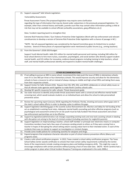21. Support unpassed\* Safe Schools Legislation:

Vulnerability Assessments

 Threat Assessment Teams (The proposed legislation may require some clarification regarding the type of information that may be shared under subsections in the previously proposed legislation. For

example, other than criminal history and health, juvenile court files may contain other information putting a child at risk that may not be available to school officials (unhealthy associations, gang affiliations etc.))

Data / incident reporting (work to strengthen this)

Extreme Risk Protective Order / Gun Violence Protective Order legislation (Work with law enforcement and relevant constituencies to develop a version of Extreme Risk Protective Order legislation with a chance of passage in NC.)

\*NOTE: Not all unpassed legislation was considered by the Special Committee given its limited time to conduct business. Several of these pieces of unpassed legislation were mentioned at public forums (e.g., arming teachers).

22. From the Governor's 2018-2019 budget:

Support Youth Mental Health: Adds \$55 million for mental health personnel and training, including \$40 million for local school districts to hire more nurses, counselors, psychologists, and social workers who directly support student mental health, and \$15 million for innovative, evidence-based programs including training to help teachers, school staff, and mental health professionals identify and respond to student mental health challenges.

| <b>OTHER RECOMMENDATIONS</b> |                                                                                                                              |  |
|------------------------------|------------------------------------------------------------------------------------------------------------------------------|--|
|                              | 23. If not willing to pursue an SRO in every school, recommend the state push the issue of SROs in elementary schools,       |  |
|                              | even if it is one SRO per three or four elementary schools. This would improve security and allow for the elementary         |  |
|                              | schools to have a resource to call on instead of always relying on middle and high school SROs and taking them away          |  |
|                              | from their respective schools.                                                                                               |  |
|                              | 24. Support Center for Safer Schools (CSS). Require that CSS, DPS, DOJ, and DHHS collaborate on school safety issues so      |  |
|                              | that all relevant state agencies work together to make North Carolina schools safer.                                         |  |
| 25.                          | Develop NC specific resources for safer schools: Threat Assessment guide.                                                    |  |
| 26.                          | Use state resources to identify and provide threat assessment teams with a universal and effective mental health             |  |
|                              | screening tool, which would evaluate students on an individual basis and allow the school to take personalized               |  |
|                              | preventive action.                                                                                                           |  |
|                              | 27. Review the upcoming report (January 2019) regarding the Parkland, Florida, shooting and assess where gaps exist in       |  |
|                              | the state's school safety efforts in order to develop a plan to address the gaps.                                            |  |
|                              | 28. Support legislation identifying gaps in the Juvenile Justice Reinvestment Act. Monitor and lobby for full funding of the |  |
|                              | act as established in existing fiscal notes. Adequate mental health counseling and other effective programs (such as         |  |
|                              | psychological and assessment centers) for at-risk youth must be fully funded if the threat assessment and school -           |  |
|                              | law enforcement partnerships are to be effective.                                                                            |  |
|                              | 29. Support by legislation/administrative rule changes expanding existing tools and new tools assisting schools in dealing   |  |
|                              | with disruption not arising to the level of criminal conduct (including sanctions for neglectful parents).                   |  |
|                              | 30. Support legislation on impersonating a teacher, school staff member or principal over electronic means or computer.      |  |
|                              | Committee members have had a few cases of someone sending emails to others as if they were coming from a                     |  |
|                              | teacher in hopes of disrupting the school setting and/or causing undue harm to their intended victim. In each of the         |  |
|                              | incidents there was no statute to support an investigation or criminal charges.                                              |  |
| 31.                          | Provide some model policies for conducting searches for weapons and drugs.                                                   |  |
| 32.                          | Expand programs that emphasize character education as part of school violence prevention efforts (Many such                  |  |
|                              | programs exist).                                                                                                             |  |
|                              | 33. Create a safe school certification program. In 2013, Texas created a school safety certification program. The Texas      |  |
|                              | School Safety Center awards certificates to schools that meet certain safety requirements outlined by the Center.            |  |
|                              | Some of the requirements include creating emergency plans and holding emergency drills. This might be a way to               |  |
|                              | encourage compliance with certain provisions without passing a host of new state laws. (NOTE: North Carolina had a           |  |
|                              | similar program in place when Critical Incident Response Training was emphasized in the early 2000s.)                        |  |
|                              |                                                                                                                              |  |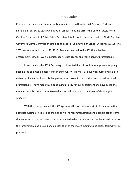## Introduction

Prompted by the violent shooting at Marjory Stoneman Douglas High School in Parkland, Florida, on Feb. 14, 2018, as well as other school shootings across the United States, North Carolina Department of Public Safety Secretary Erik A. Hooks requested that the North Carolina Governor's Crime Commission establish the Special Committee on School Shootings (SCSS). The SCSS was announced on April 19, 2018. Members named to the SCSS included law enforcement, school, juvenile justice, court, state agency and youth-serving professionals.

In announcing the SCSS, Secretary Hooks noted that "School shootings have tragically become too common an occurrence in our country. We must use every resource available to us to examine and address this dangerous threat posed to our children and our educational professionals. I have made this a continuing priority for our department and have asked the members of this special committee to help us find solutions to the threat of shootings in schools."

With this charge in mind, the SCSS presents the following report. It offers information about its guiding principles and themes as well its recommendations and possible action items that serve as part of the many solutions that need to be considered and implemented. Prior to this information, background and a description of the SCSS's meetings and public forums will be presented.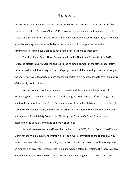## **Background**

North Carolina has been a leader in school safety efforts for decades. It was one of the first states to see School Resource Officer (SRO) programs develop and established one of the first state school safety centers in the 1990s. Legislation has been passed through the years to keep up with changing needs as schools, law enforcement and first responders as well as communities at large have worked to keep schools safe and make them safer.

The shooting at Sandy Hook Elementary School in Newtown, Connecticut, in 2012, refocused efforts in North Carolina and led to the re-establishment of the state school safety center as well as additional legislation. SRO programs, which had steadily increased through the years, now were looked to as possibly being needed in elementary schools given the nature of the Sandy Hook incident.

North Carolina as well as other states again found themselves in the position of responding with statewide actions to school shootings in 2018. Several efforts emerged as a result of these shootings. The North Carolina General Assembly established the House Select Committee on School Safety, and the North Carolina State Emergency Response Commission put in place a School Safety Committee. Similarly, the Governor's Crime Commission established the Special Committee on School Shootings.

With all these concurrent efforts, the co-chairs of the SCSS, Gaston County Sheriff Alan Cloninger and Wake County Sheriff Donnie Harrison, were committed to the charge given by Secretary Hooks. The focus of the SCSS, per the co-chairs, was to be on school shootings with an emphasis on law enforcement's role in making schools safer. Essential to the success of law enforcement in this role, the co-chairs noted, was collaborating with all stakeholders. This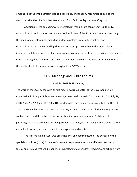emphasis aligned with Secretary Hooks' goal of ensuring that any recommended solutions would be reflective of a "whole-of-community" and "whole-of-government" approach.

Additionally, the co-chairs were interested in making sure consistency, uniformity, standardization and common sense were used as drivers of the SCSS's decisions. Articulating the need for consistent understanding and terminology, uniformity in actions and standardization via training and legislation when appropriate were noted as particularly important in defining and describing how law enforcement needs to perform in its school safety efforts. Noting that "common sense isn't so common," the co-chairs were determined to use the reality check of common sense throughout the SCSS's work.

## SCSS Meetings and Public Forums

#### **April 23, 2018 SCSS Meeting**

The work of the SCSS began with its first meeting April 23, 2018, at the Governor's Crime Commission in Raleigh. Subsequent meetings were held at the GCC on: June 19, 2018; July 19, 2018; Aug. 23, 2018; and Oct. 18, 2018. Additionally, two public forums were held on Nov. 20, 2018, in Greenville, North Carolina, and Nov. 29, 2018, in Greensboro. All the meetings were well attended, and the public forums were standing-room-only events. Both types of gatherings attracted attendees including students, parents, youth-serving professionals, schools and school systems, law enforcement, state agencies and media.

The first meeting in April was organizational and communicated "the purpose of the special committee [to be] for law enforcement response teams to identify best practices / tactics and training that will be beneficial in protecting our children, teachers, and schools from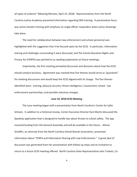all types of violence" (Meeting Minutes, April 23, 2018). Representatives from the North Carolina Justice Academy presented information regarding SRO training. A presentation focus was active shooter training with emphasis on single officer responders when active shootings take place.

The need for collaboration between law enforcement and school personnel was highlighted with the suggestion that it be focused upon by the SCSS. In particular, information sharing and challenges surrounding it were discussed, and The Family Education Rights and Privacy Act (FERPA) was pointed to as needing explanation at future meetings.

Importantly, the first meeting prompted discussion and decisions about how the SCSS should conduct business. Agreement was reached that five themes would serve as "guardrails" for meeting discussions and would keep the SCSS aligned with its charge. The five themes identified were: training; physical security; threat intelligence / assessment; school - law enforcement partnerships; and possible statutory changes.

#### **June 19, 2018 SCSS Meeting**

The June meeting began with a presentation from North Carolina's Center for Safer Schools. In addition to a historical review, Center Executive Director Kym Martin discussed the SpeakUp application that is designed to handle tips about threats to school safety. The app received funding from the General Assembly and will be available in the future. Allison Schaffer, an attorney from the North Carolina School Boards Association, presented information about "FERPA and Information Sharing with Law Enforcement." A great deal of discussion was generated from her presentation with follow-up steps and an invitation to return to a future SCSS meeting offered. North Carolina State Representative John Torbett, Co-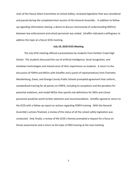chair of the House Select Committee on School Safety, reviewed legislation that was considered and passed during the completed short session of the General Assembly. In addition to followup regarding information sharing, a desire to discuss memoranda of understanding (MOUs) between law enforcement and school personnel was stated. Schaffer indicated a willingness to address the topic at a future SCSS meeting.

#### **July 19, 2018 SCSS Meeting**

The July SCSS meeting offered a presentation by students from Panther Creek High School. The students discussed the use of artificial intelligence, facial recognition, and lockdown technologies and shared some of their experiences as students. A return to the discussion of FERPA and MOUs with Schaffer and a panel of representatives from Charlotte-Mecklenburg, Davie, and Orange County Public Schools prompted agreement that uniform, standardized training for all parties on FERPA, including its exceptions and the penalties for potential violations, and model MOUs that specify role definitions for SROs and school personnel would be worth further attention and recommendation. Schaffer agreed to return to the SCSS with a follow-up report on actions regarding FERPA training. With the General Assembly's actions finalized, a review of the status of all the school safety legislation was conducted. And, finally, a review of the SCSS's themes prompted a request for a focus on threat assessments and a return to the topic of SRO training at the next meeting.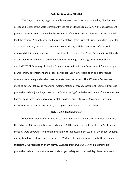#### **Aug. 23, 2018 SCSS Meeting**

The August meeting began with a threat assessment presentation led by Dirk German, assistant director of the State Bureau of Investigation Standards Division. A threat assessment project currently being pursued by the SBI was briefly discussed and identified as one that will lead the nation. A panel comprised of representatives from Criminal Justice Standards, Sheriffs' Standards Division, the North Carolina Justice Academy, and the Center for Safer Schools discussed details about and progress regarding SRO training. The North Carolina School Boards Association returned with a recommendation for training, a one-page information sheet entitled "FERPA Summary: Releasing Student Information to Law Enforcement," and example MOUs for law enforcement and school personnel. A review of legislation and other school safety actions being undertaken in other states was presented. The SCSS set a September meeting date for follow up regarding implementation of threat assessment teams, extreme risk protective orders, juvenile justice and the "Raise the Age" initiative and related "School - Justice Partnerships," and updates by several stakeholder representatives. Because of Hurricane Florence's impact on North Carolina, this agenda was moved to Oct. 18, 2018.

#### **Oct. 18, 2018 SCSS Meeting**

Given the amount of information to cover because of the missed September meeting, the October SCSS meeting time was extended. All the topics originally set for the September meeting were covered. The implementation of threat assessment teams at the school building and system levels offered further details to SCSS members about how to make these teams successful. A presentation by Dr. Jeffrey Swanson from Duke University on extreme risk protective orders prompted discussion about gun safety and how "red flag" laws have been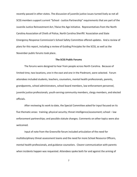recently passed in other states. The discussion of juvenile justice issues turned lively as not all SCSS members support current "School - Justice Partnership" requirements that are part of the Juvenile Justice Reinvestment Act / Raise the Age initiative. Representatives from the North Carolina Association of Chiefs of Police, North Carolina Sheriffs' Association and State Emergency Response Commission's School Safety Committee offered updates. And a review of plans for this report, including a review of Guiding Principles for the SCSS, as well as the November public forums took place.

#### **The SCSS Public Forums**

The forums were designed to hear from people across North Carolina. Because of limited time, two locations, one in the east and one in the Piedmont, were selected. Forum attendees included students, teachers, counselors, mental health professionals, parents, grandparents, school administrators, school board members, law enforcement personnel, juvenile justice professionals, youth-serving community members, clergy members, and elected officials.

After reviewing its work to date, the Special Committee asked for input focused on its five thematic areas: training; physical security; threat intelligence/assessment; school – law enforcement partnerships; and possible statute changes. Comments on other topics were also welcomed.

Input of note from the Greenville forum included articulation of the need for multidisciplinary threat assessment teams and the need for more School Resource Officers, mental health professionals, and guidance counselors. Clearer communication with parents when incidents happen was requested. Attendees spoke both for and against the arming of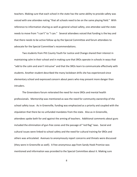teachers. Making sure that each school in the state has the same ability to provide safety was voiced with one attendee noting "that all schools need to be on the same playing field." With reference to information sharing as well as general school safety, one attendee said the state needs to move from "I can't" to "I can." Several attendees voiced that funding is the key and that there needs to be active follow up by the Special Committee and forum attendees to advocate for the Special Committee's recommendations.

Two students from Pitt County Youth for Justice and Change shared their interest in maintaining calm in their school and in making sure that SROs operate in schools in ways that "add to the calm and aren't intrusive" and that the SROs learn to communicate effectively with students. Another student described the many lockdown drills she has experienced since elementary school and expressed concern about peers who may present more danger than intruders.

The Greensboro forum reiterated the need for more SROs and mental health professionals. Mentorship was mentioned as was the need for community ownership of the school safety issue. As in Greenville, funding was emphasized as a priority and coupled with the stipulation that there be no unfunded mandates from the state. Also as in Greenville, attendees spoke both for and against the arming of teachers. Additional comments about guns included the elimination of gun-free zones and the passage of "red flag" laws. Social and cultural issues were linked to school safety and the need for cultural training for SROs and others was articulated. Avenues to anonymously report concerns and threats were discussed (they were in Greenville as well). A free anonymous app from Sandy Hook Promise was mentioned and information was provided to the Special Committee about it. Making sure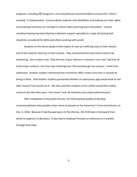programs, including SRO programs, are evaluated was recommended to ensure that "what's working" is implemented. Concern about students with disabilities and making sure their rights are protected and they are included in school safety planning were articulated. Trauma sensitive training was described by a behavior support specialist as a type of training that should be considered for SROs and others working with youth.

Students at this forum spoke to the impact of race as a defining issue in their schools and of the need for diversity in their schools. They mentioned that classrooms need to be welcoming. One student said, "that the fear of gun violence in schools is very real" and that all kinds of gun violence, not only mass shootings but "the everyday gun on campus," need to be addressed. Another student mentioned that sometimes SROs create more fear in schools by being in them. And another student questioned whether an anonymous app would work as she didn't know if she would use it. She also said that students at her school voiced their safety concerns but that they were "shut down" and not listened to by school administration.

After completion of the public forums, the SCSS worked quickly to develop recommendations and possible action items to present to the Governor's Crime Commission on Dec. 6, 2018. Because it had focused upon its five themes, the SCSS had a framework from which to organize its decisions. It also had its Guiding Principles to reference as it worked through final steps.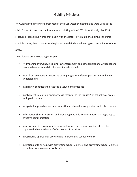## Guiding Principles

The Guiding Principles were presented at the SCSS October meeting and were used at the public forums to describe the foundational thinking of the SCSS. Intentionally, the SCSS structured these using words that begin with the letter "I" to make the point, as the first principle states, that school safety begins with each individual having responsibility for school safety.

The following are the Guiding Principles:

- "I" (meaning everyone, including law enforcement and school personnel, students and parents) have responsibility for keeping schools safe
- Input from everyone is needed as putting together different perspectives enhances understanding
- Integrity in conduct and practices is valued and practiced
- Involvement in multiple approaches is essential as the "causes" of school violence are multiple in nature
- Integrated approaches are best…ones that are based in cooperation and collaboration
- Information sharing is critical and providing methods for information sharing is key to effective communication
- Improvement in current practices as well as Innovative new practices should be supported when evidence of effectiveness is provided
- Investigative approaches are valuable in preventing school violence
- Intentional efforts help with preventing school violence, and preventing school violence is the best way to make schools safer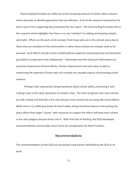These Guiding Principles are reflective of the increasing amount of school safety research which attempts to identify approaches that are effective. A list of the research reviewed by the SCSS is part of the supporting documentation for this report. The SCSS Guiding Principles link to this research which highlights that there is no one "solution" to making and keeping schools safe/safer. Efforts on the parts of all involved, from those who are in the schools every day to those who are members of the communities in which these schools are located, need to be pursued. Such efforts should involve multidisciplinary expertise and perspectives and should be grounded in cooperation and collaboration. Information and the sharing of information are essential components of these efforts. Process improvement and new ideas as well as maximizing the expertise of those who are involved are valuable aspects of preventing school violence.

Perhaps most importantly, being intentional about school safety, prioritizing it and making it part of the daily operations of schools is key. The SCSS recognizes that most schools are safe schools and that this is the case because most schools are pursuing safe school efforts. While there is no 100% guarantee of school safety, being intentional about it and putting into place efforts that target "causes" with resources to support the efforts will keep most schools in the safe category and put others into it. With that kind of thinking, the SCSS developed recommendations and possible action items for consideration for North Carolina.

## Recommendations

The recommendations of the SCSS are structured using themes identified by the SCSS in its work: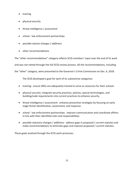- training
- physical security
- threat intelligence / assessment
- school law enforcement partnerships
- possible statute changes / additions
- other recommendations

The "other recommendations" category reflects SCSS members' input near the end of its work

and was not vetted through the full SCSS review process. All the recommendations, including

the "other" category, were presented to the Governor's Crime Commission on Dec. 6, 2018.

The SCSS developed a goal for each of its substantive categories:

- training: ensure SROs are adequately trained to serve as resources for their schools.
- physical security: integrate security practices, policies, special technologies, and building/code requirements into current practices to enhance security.
- threat intelligence / assessment: enhance prevention strategies by focusing on early stage threat identification, assessment, and response.
- school law enforcement partnerships: improve communication and coordinate efforts in line with their identified roles and responsibilities.
- possible statutory changes / additions: address gaps in proposed / current statutes and make recommendations to eliminate gaps and improve proposed / current statutes.

These goals evolved through the SCSS work processes.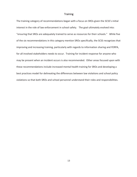#### **Training**

The training category of recommendations began with a focus on SROs given the SCSS's initial interest in the role of law enforcement in school safety. The goal ultimately evolved into: "ensuring that SROs are adequately trained to serve as resources for their schools." While five of the six recommendations in this category mention SROs specifically, the SCSS recognizes that improving and increasing training, particularly with regards to information sharing and FERPA, for all involved stakeholders needs to occur. Training for incident response for anyone who may be present when an incident occurs is also recommended. Other areas focused upon with these recommendations include increased mental health training for SROs and developing a best practices model for delineating the differences between law violations and school policy violations so that both SROs and school personnel understand their roles and responsibilities.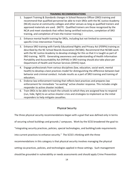|    | <b>TRAINING RECOMMENDATIONS</b>                                                                                                                                                                                                                                                                                                                                                                                                                                                                               |
|----|---------------------------------------------------------------------------------------------------------------------------------------------------------------------------------------------------------------------------------------------------------------------------------------------------------------------------------------------------------------------------------------------------------------------------------------------------------------------------------------------------------------|
| 1. | Support Training & Standards changes in School Resource Officer (SRO) training and<br>recommend that qualified personnel be able to train SROs with the NC Justice Academy<br>(NCJA) course at community colleges and other venues as long as qualified trainers and<br>approved materials are used. (NOTE: Qualified trainers are those recognized by the<br>NCJA and meet standards that reflect being certified instructors, completion of SRO<br>training, and completion of train-the-trainer training.) |
|    | 2. Enhance mental health training for SROs, including but not limited to community<br>specific Crisis Intervention Training.                                                                                                                                                                                                                                                                                                                                                                                  |
| 3. | Enhance SRO training with Family Educational Rights and Privacy Act (FERPA) training as<br>described by the NC School Boards Association (NCSBA). Recommend that NCSBA work<br>with the NC Justice Academy to develop strategy for this so that it is taught as part of<br>SRO training. NOTE: Generating awareness and understanding of Health Information<br>Portability and Accountability Act (HIPAA) in SRO training should also take place per<br>Department of Health and Human Services (DHHS) input. |
| 4. | Engage professionals from various disciplines (law, education, social work, mental<br>health) to develop a best practices model for distinguishing the difference between bad<br>behavior and criminal conduct. Include results as a part of SRO training and training of<br>educators.                                                                                                                                                                                                                       |
|    | 5. Endorse law enforcement training that reflects best practices and prepares law<br>enforcement for immediate "no waiting" active shooter response. This includes single<br>responder to active shooter incident.                                                                                                                                                                                                                                                                                            |
| 6. | Train SROs to be able to teach the schools to which they are assigned how to respond<br>(run, hide, fight) to an active shooter crisis and strategies to implement as the initial<br>responders to help mitigate casualties.                                                                                                                                                                                                                                                                                  |

## Physical Security

The three physical security recommendations began with a goal that was defined only in terms

of securing school buildings and grounds / campuses. Work by the SCSS broadened the goal to:

"integrating security practices, policies, special technologies, and building/code requirements

into current practices to enhance security." The SCSS's thinking with the three

recommendations in this category is that physical security involves managing the physical

setting via practices, policies, and technologies applied in those settings. Such management

should be grounded in vulnerability or needs assessments and should apply Crime Prevention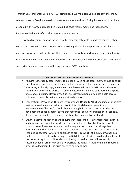Through Environmental Design (CPTED) principles. SCSS members voiced concern that many

schools in North Carolina are old and need renovations and retrofitting for security. Members

grappled with how to approach this via building code requirements and inspections.

Recommendation #8 reflects their attempt to address this.

A third recommendation included in this category attempts to address concerns about

current practices with active shooter drills. Involving all possible responders in the planning

and practice of such drills at the local level is seen as critically important and something that is

not currently being done everywhere in the state. Additionally, the monitoring and reporting of

such drills falls short based upon the experience of SCSS members.

#### **PHYSICAL SECURITY RECOMMENDATIONS**

- 7. Require vulnerability assessments to be done. Such needs assessments should consider the placement and use of equipment such as metal detectors, alarm systems, hardened entrances, visible signage, and cameras / video surveillance. (NOTE: metal detectors should NOT be manned by SROs. Camera placement should be considered in all parts of a school, including classrooms.) Such assessments should also note single access policies and controls that are in place at each school.
- 8. Employ Crime Prevention Through Environmental Design (CPTED) and its four principles (natural surveillance; natural access control; territorial reinforcement; and maintenance) to "harden" schools that are being built or renovated. Consider the development of code specifications that recognize "security certification" of schools. Review and designation of such certification shall be done by third parties.
- 9. Enhance active shooter drills and require that local schools, law enforcement agencies, and emergency responders work together on such drills. Local authorities (local schools, law enforcement agencies, and emergency responders) shall together determine whether and to what extent students participate. These same authorities shall decide together what drill approach to practice which, at a minimum, shall be a table top exercise with walk throughs, partial drills, or full drills considered and full drills the preferred approach. Note also that having more than one drill per year is recommended in order to prepare for possible incidents. A monitoring and reporting process to document these drills needs to be established.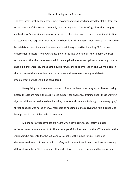#### Threat Intelligence / Assessment

The five threat intelligence / assessment recommendations used unpassed legislation from the recent session of the General Assembly as a starting point. The SCSS's goal for this category evolved into: "enhancing prevention strategies by focusing on early stage threat identification, assessment, and response." Per the SCSS, school-level Threat Assessment Teams (TATs) need to be established, and they need to have multidisciplinary expertise, including SROs or law enforcement officers if no SROs are assigned to the involved school. Additionally, the SCSS recommends that the state-resourced tip line application or other tip lines / reporting systems should be implemented. Input at the public forums made an impression on SCSS members in that it stressed the immediate need in this area with resources already available for implementation that should be considered.

Recognizing that threats exist on a continuum with early warning signs often occurring before threats are made, the SCSS voiced support for awareness training about these warning signs for all involved stakeholders, including parents and students. Bullying as a warning sign / threat behavior was noted by SCSS members as needing emphasis given the role it appears to have played in past violent school situations.

Making sure student voices are heard when developing school safety policies is reflected in recommendation #13. The most impactful voices heard by the SCSS were from the students who presented to the SCSS and who spoke at the public forums. Each one demonstrated a commitment to school safety and communicated that schools today are very different from those SCSS members attended in terms of the perception and feeling of safety.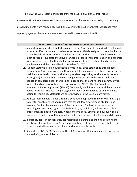Finally, the SCSS recommends support for the SBI's BeTA (Behavioral Threat

Assessment) Unit as a means to address school safety as it creates the capacity to potentially

prevent incidents from happening. Additionally, linking the SBI into threat intelligence from

reporting systems that operate in schools is noted in recommendation #11.

#### **THREAT INTELLIGENCE / ASSESSMENT RECOMMENDATIONS**

- 10. Support individual school multidisciplinary Threat Assessment Teams (TATs) that should include certified personnel. If no law enforcement (SRO) is assigned to the school, nonschool-based law enforcement should be included on the TAT. TATs shall be set up to meet at regular (suggested weekly) intervals in order to share information and generate awareness as to possible threats. Encourage connecting to treatment and ensuring involvement with behavioral health providers for TATs.
- 11. Support Statewide Tip Line Application or tip lines / apps established through local cooperation. Any threats received through such tip lines /apps or other reporting media shall be immediately shared with the appropriate responding local law enforcement agency(cies). Consider how these reporting media can link to the SBI. Establish an education campaign about the tip lines / apps so that the entire school community is aware of and can access them to report concerns. NOTE: The Say Something Anonymous Reporting System (SS-ARS) from Sandy Hook Promise is available now and public forum participants strongly suggested that it be researched as an immediate option for reporting. Materials are being provided to the Special Committee.
- 12. Address mental health needs through a continuum approach from early warning signs to mental health services and require that school, law enforcement, students and parents / families be made aware of the continuum. Emphasize the importance of reporting early warning signs to the TATs which, by definition, will ensure that law enforcement is made aware early when concerns arise. Emphasize how bullying is a warning sign and require that it must be addressed through school policy and discipline.
- 13. Include students in school safety conversations, planning and training designing the involvement according to age/grade appropriateness. Important to note that certain types of tactical information shall not be shared or made public.
- 14. Support the SBI's BeTA (Behavioral Threat Assessment) Unit as a means to preventing and reducing school violence.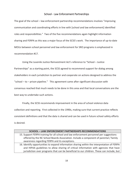#### School - Law Enforcement Partnerships

The goal of the school – law enforcement partnership recommendations involves "improving communication and coordinating efforts in line with [school and law enforcement] identified roles and responsibilities." Two of the five recommendations again highlight information sharing and FERPA as this was a major focus of the SCSS's work. The importance of up-to-date MOUs between school personnel and law enforcement for SRO programs is emphasized in recommendation #17.

Using the Juvenile Justice Reinvestment Act's reference to "School – Justice Partnerships" as a starting point, the SCSS agreed to recommend support for dialog among stakeholders in each jurisdiction to partner and cooperate on actions designed to address the "school – to – prison pipeline." This agreement came after significant discussion with consensus reached that much needs to be done in this area and that local conversations are the best way to undertake such actions.

Finally, the SCSS recommends improvement in the area of school violence data collection and reporting. First collected in the 1990s, making sure that current practice reflects consistent definitions and that the data is shared and can be used in future school safety efforts is desired.

| <b>SCHOOL - LAW ENFORCEMENT PARTNERSHIPS RECOMMENDATIONS</b>                                |
|---------------------------------------------------------------------------------------------|
| 15. Support FERPA training for all school and law enforcement personnel per suggestions     |
| offered by the NC School Boards Association. Include a component of parental / family       |
| awareness regarding FERPA and its exceptions.                                               |
| 16. Identify opportunities to expand information sharing within the interpretation of FERPA |
| and HIPAA guidelines to allow sharing of critical information with agencies that have       |
| jurisdiction over programs that can be beneficial to our children. These can include, but   |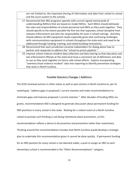are not limited to, the improved sharing of information and data from school to school and the court system to the schools.

- 17. Recommend that SRO programs operate with current signed memoranda of understanding (MOUs) that are based on model MOUs. Such MOUs should delineate the roles and responsibilities of school personnel and SROs as they work together. They should specify to the extent possible the fine line that separates school discipline from statutes enforcement and who has responsibility for each in school settings. And they should address all SRO equipment needs especially given that continuing challenges with communications equipment in schools throughout the state exist and need to be addressed through funding, training, and school building renovations.
- 18. Recommend that each jurisdiction convene stakeholders for dialog about how to partner and cooperate to address the "school-to-prison pipeline."
- 19. Improve school violence incident data collection and data sharing so that education and law enforcement officials at the state level have a consistent set of definitions and data to use as they work together on future safe school efforts. Explore incorporating "averted school violence incident" data into reporting to identify prevention strategies that work in North Carolina.

#### Possible Statutory Changes / Additions

The SCSS reviewed actions in other states as well as past actions in North Carolina to, per its stated goal, "address gaps in proposed / current statutes and make recommendations to eliminate gaps and improve proposed / current statutes." After decades of funding SROs via grants, recommendation #20 is designed to generate discussion about permanent funding for SRO positions in every school in the state. Waiting for a violent event at a North Carolina school to prompt such thinking is not being intentional about prevention, so this recommendation reflects a desire to be proactive and preventive rather than reactionary. Thinking around this recommendation includes that North Carolina would develop a strategic plan to undertake this recommendation given it cannot be done quickly. If permanent funding for an SRO position for every school is not deemed viable, a push to assign an SRO to each elementary school is recommended in the "Other Recommendations" category.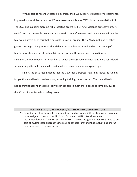With regard to recent unpassed legislation, the SCSS supports vulnerability assessments, improved school violence data, and Threat Assessment Teams (TATs) in recommendation #21. The SCSS also supports extreme risk protective orders (ERPO) / gun violence protective orders (GVPO) and recommends that work be done with law enforcement and relevant constituencies to develop a version of this that is passable in North Carolina. The SCSS did not discuss other gun-related legislative proposals that did not become law. As noted earlier, the arming of teachers was brought up at both public forums with both support and opposition voiced. Similarly, the GCC meeting in December, at which the SCSS recommendations were considered, served as a platform for such a discussion with no recommendation agreed upon.

Finally, the SCSS recommends that the Governor's proposal regarding increased funding for youth mental health professionals, including training, be supported. The mental health needs of students and the lack of services in schools to meet these needs became obvious to the SCSS as it studied school safety research.

#### **POSSIBLE STATUTORY CHANGES / ADDITIONS RECOMMENDATIONS**

20. Consider new legislation: Recommend full funding for an SRO position with equipment to be assigned to each school in North Carolina. NOTE: See alternative recommendation in "OTHER" section. NOTE: There is recognition that SROs need to be part of multifaceted approaches to making schools safer and that evaluations of SRO programs need to be conducted.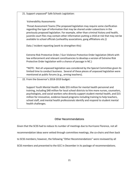21. Support unpassed\* Safe Schools Legislation:

#### Vulnerability Assessments

 Threat Assessment Teams (The proposed legislation may require some clarification regarding the type of information that may be shared under subsections in the previously proposed legislation. For example, other than criminal history and health, juvenile court files may contain other information putting a child at risk that may not be available to school officials (unhealthy associations, gang affiliations etc.))

Data / incident reporting (work to strengthen this)

Extreme Risk Protective Order / Gun Violence Protective Order legislation (Work with law enforcement and relevant constituencies to develop a version of Extreme Risk Protective Order legislation with a chance of passage in NC.)

\*NOTE: Not all unpassed legislation was considered by the Special Committee given its limited time to conduct business. Several of these pieces of unpassed legislation were mentioned at public forums (e.g., arming teachers).

22. From the Governor's 2018-2019 budget:

Support Youth Mental Health: Adds \$55 million for mental health personnel and training, including \$40 million for local school districts to hire more nurses, counselors, psychologists, and social workers who directly support student mental health, and \$15 million for innovative, evidence-based programs including training to help teachers, school staff, and mental health professionals identify and respond to student mental health challenges.

#### Other Recommendations

Given that the SCSS had to reduce its number of meetings due to Hurricane Florence, not all

recommendation ideas were vetted through committee meetings, the co-chairs and then back

to SCSS members; however, the following "Other Recommendations" were reviewed by all

SCSS members and presented to the GCC in December in its package of recommendations.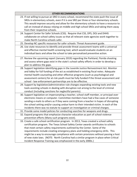| <b>OTHER RECOMMENDATIONS</b>                                                               |  |
|--------------------------------------------------------------------------------------------|--|
| 23. If not willing to pursue an SRO in every school, recommend the state push the issue of |  |
| SROs in elementary schools, even if it is one SRO per three or four elementary schools.    |  |
| This would improve security and allow for the elementary schools to have a resource to     |  |
| call on instead of always relying on middle and high school SROs and taking them away      |  |
| from their respective schools.                                                             |  |
| 24. Support Center for Safer Schools (CSS). Require that CSS, DPS, DOJ and DHHS            |  |
| collaborate on school safety issues so that all relevant state agencies work together to   |  |
| make North Carolina schools safer.                                                         |  |
| 25. Develop NC specific resources for safer schools: Threat Assessment guide.              |  |
| 26. Use state resources to identify and provide threat assessment teams with a universal   |  |
| and effective mental health screening tool, which would evaluate students on an            |  |
| individual basis and allow the school to take personalized preventive action.              |  |
| 27. Review the upcoming report (January 2019) regarding the Parkland, Florida shooting     |  |
| and assess where gaps exist in the state's school safety efforts in order to develop a     |  |
| plan to address the gaps.                                                                  |  |
| 28. Support legislation identifying gaps in the Juvenile Justice Reinvestment Act. Monitor |  |
| and lobby for full funding of the act as established in existing fiscal notes. Adequate    |  |
| mental health counseling and other effective programs (such as psychological and           |  |
| assessment centers) for at-risk youth must be fully funded if the threat assessment and    |  |
| school - law enforcement partnerships are to be effective.                                 |  |
| 29. Support by legislation/administrative rule changes expanding existing tools and new    |  |
| tools assisting schools in dealing with disruption not arising to the level of criminal    |  |
| conduct (including sanctions for neglectful parents).                                      |  |
| 30. Support legislation on impersonating a teacher, school staff member, or principal over |  |
| electronic means or computer. Committee members have had a few cases of someone            |  |
| sending e-mails to others as if they were coming from a teacher in hopes of disrupting     |  |
| the school setting and/or causing undue harm to their intended victim. In each of the      |  |
| incidents there was no statute to support an investigation or criminal charges.            |  |
| 31. Provide some model policies for conducting searches for weapons and drugs.             |  |
| 32. Expand programs that emphasize character education as part of school violence          |  |
| prevention efforts (Many such programs exist).                                             |  |
| 33. Create a safe school certification program. In 2013, Texas created a school safety     |  |
| certification program. The Texas School Safety Center awards certificates to schools       |  |
| that meet certain safety requirements outlined by the Center. Some of the                  |  |
| requirements include creating emergency plans and holding emergency drills. This           |  |
| might be a way to encourage compliance with certain provisions without passing a host      |  |
| of new state laws. (NOTE: North Carolina had a similar program in place when Critical      |  |
| Incident Response Training was emphasized in the early 2000s.)                             |  |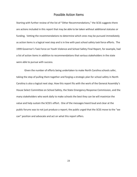## Possible Action Items

Starting with further review of the list of "Other Recommendations," the SCSS suggests there are actions included in this report that may be able to be taken without additional statutes or funding. Vetting the recommendations to determine which ones may be pursued immediately as action items is a logical next step and is in line with past school safety task force efforts. The 1999 Governor's Task Force on Youth Violence and School Safety Final Report, for example, had a list of action items in addition to recommendations that various stakeholders in the state were able to pursue with success.

Given the number of efforts being undertaken to make North Carolina schools safer, taking the step of pulling them together and forging a strategic plan for school safety in North Carolina is also a logical next step. How this report fits with the work of the General Assembly's House Select Committee on School Safety, the State Emergency Response Commission, and the many stakeholders who work daily to make schools the best they can be will maximize the value and help sustain the SCSS's effort. One of the messages heard loud and clear at the public forums was to not just produce a report; the public urged that the SCSS move to the "we can" position and advocate and act on what this report offers.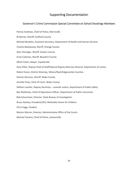## Supporting Documentation

#### Governor's Crime Commission Special Committee on School Shootings Members

Patrice Andrews, Chief of Police, Morrisville BJ Barnes, Sheriff, Guilford County Michael Becketts, Assistant Secretary, Department of Health and Human Services Charles Blackwood, Sheriff, Orange County Alan Cloninger, Sheriff, Gaston County Ernie Coleman, Sheriff, Beaufort County Mitch Colvin, Mayor, Fayetteville Dave Elliot, Deputy Chief of Staff/Special Deputy Attorney General, Department of Justice Robert Evans, District Attorney, Wilson/Nash/Edgecombe Counties Donnie Harrison, Sheriff, Wake County Jennifer Knox, Clerk of Court, Wake County William Lassiter, Deputy Secretary – Juvenile Justice, Department of Public Safety Ben Matthews, Chief of Operations Officer, Department of Public Instruction Bob Schurmeier, Director, State Bureau of Investigation Bruce Stanley, President/CEO, Methodist Home for Children Chris Suggs, Student Marion Warren, Director, Administrative Office of the Courts Michael Yaniero, Chief of Police, Jacksonville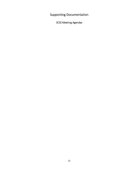Supporting Documentation

SCSS Meeting Agendas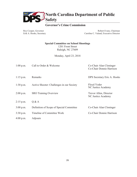

## **Governor's Crime Commission**

Roy Cooper, Governor Erik A. Hooks, Secretary

Robert Evans, Chairman Caroline C. Valand, Executive Director

**Special Committee on School Shootings** 1201 Front Street Raleigh, NC 27609

Monday, April 23, 2018

| $1:00$ p.m. | Call to Order & Welcome                   | Co-Chair Alan Cloninger<br>Co-Chair Donnie Harrison |
|-------------|-------------------------------------------|-----------------------------------------------------|
| $1:15$ p.m. | Remarks                                   | DPS Secretary Eric A. Hooks                         |
| $1:30$ p.m. | Active Shooter: Challenges in our Society | Floyd Yoder<br>NC Justice Academy                   |
| $2:00$ p.m. | <b>SRO</b> Training Overview              | Trevor Allen, Director<br>NC Justice Academy        |
| $2:15$ p.m. | Q & A                                     |                                                     |
| $3:00$ p.m. | Definition of Scope of Special Committee  | Co-Chair Alan Cloninger                             |
| $3:30$ p.m. | Timeline of Committee Work                | Co-Chair Donnie Harrison                            |
| $4:00$ p.m. | Adjourn                                   |                                                     |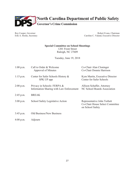

Roy Cooper, Governor Erik A. Hooks, Secretary

Robert Evans, Chairman Caroline C. Valand, Executive Director

#### **Special Committee on School Shootings**

1201 Front Street Raleigh, NC 27609

Tuesday, June 19, 2018

| $1:00$ p.m. | Call to Order & Welcome<br>Approval of Minutes                          | Co-Chair Alan Cloninger<br>Co-Chair Donnie Harrison                                |
|-------------|-------------------------------------------------------------------------|------------------------------------------------------------------------------------|
| $1:15$ p.m. | Center for Safer Schools History &<br>SPK UP app                        | Kym Martin, Executive Director<br>Center for Safer Schools                         |
| $2:00$ p.m. | Privacy in Schools: FERPA &<br>Information Sharing with Law Enforcement | Allison Schaffer, Attorney<br>NC School Boards Association                         |
| $2:45$ p.m. | <b>BREAK</b>                                                            |                                                                                    |
| $3:00$ p.m. | School Safety Legislative Action                                        | Representative John Torbett<br>Co-Chair House Select Committee<br>on School Safety |
| $3:45$ p.m. | Old Business/New Business                                               |                                                                                    |
| $4:00$ p.m. | Adjourn                                                                 |                                                                                    |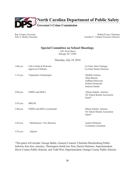

Roy Cooper, Governor Erik A. Hooks, Secretary

Robert Evans, Chairman Caroline C. Valand, Executive Director

#### **Special Committee on School Shootings**

1201 Front Street Raleigh, NC 27609

#### Thursday, July 19, 2018

| $1:00$ p.m. | Call to Order & Welcome<br>Approval of Minutes | Co-Chair Alan Cloninger<br>Co-Chair Donnie Harrison                                             |
|-------------|------------------------------------------------|-------------------------------------------------------------------------------------------------|
| $1:15$ p.m. | Triguardian Technologies                       | Maithili Acharya<br>Ishan Sharma<br>Sadhana Srinivasan<br>Srisheel Gunnisetti<br>Ananyaa Sundar |
| $2:00$ p.m. | FERPA and MOUs                                 | Allison Schafer, Attorney<br>NC School Boards Association<br>Panel*                             |
| $2:45$ p.m. | <b>BREAK</b>                                   |                                                                                                 |
| $3:00$ p.m. | FERPA and MOUs (continued)                     | Allison Schafer, Attorney<br>NC School Boards Association<br>Panel*                             |
| $3:45$ p.m. | Old Business / New Business                    | Joanne McDaniel<br>Committee Consultant                                                         |
| $3:55$ p.m. | Adjourn                                        |                                                                                                 |

\*The panel will include: George Battle, General Counsel, Charlotte-Mecklenburg Public Schools; Ken Soo, attorney, Tharrington Smith law firm; Darren Hartness, Superintendent, Davie County Public Schools; and Todd Wirt, Superintendent, Orange County Public Schools.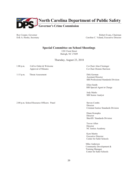

Roy Cooper, Governor Erik A. Hooks, Secretary

Robert Evans, Chairman Caroline C. Valand, Executive Director

#### **Special Committee on School Shootings**

1201 Front Street Raleigh, NC 27609

Thursday, August 23, 2018

1:00 p.m. Call to Order & Welcome Co-Chair Alan Cloninger Approval of Minutes Co-Chair Donnie Harrison

1:15 p.m. Threat Assessment Dirk German

 Assistant Director SBI Professional Standards Division

 Elliot Smith SBI Special Agent in Charge

 Jody Marks SBI Senior Analyst

2:00 p.m. School Resource Officers: Panel Steven Combs

**Director** Criminal Justice Standards Division

 Diane Konopka Director Sheriffs' Standards Division

 Trevor Allen Director NC Justice Academy

 Kym Martin Executive Director Center for Safer Schools

 Mike Anderson Community Development & Training Manager Center for Safer Schools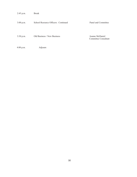| 2:45 p.m. | <b>Break</b> |
|-----------|--------------|
|-----------|--------------|

#### 3:00 p.m. School Resource Officers: Continued Panel and Committee

3:30 p.m. Old Business / New Business Joanne McDaniel

Committee Consultant

4:00 p.m. Adjourn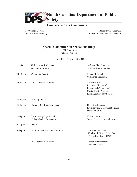

## **Governor's Crime Commission**

Roy Cooper, Governor Erik A. Hooks, Secretary

Robert Evans, Chairman Caroline C. Valand, Executive Director

#### **Special Committee on School Shootings**

1201 Front Street Raleigh, NC 27609

#### Thursday, October 18, 2018

| $11:00$ a.m. | Call to Order & Welcome               | Co-Chair Alan Cloninger                               |
|--------------|---------------------------------------|-------------------------------------------------------|
|              | Approval of Minutes                   | Co-Chair Donnie Harrison                              |
| 11:15 a.m.   | Committee Report                      | Joanne McDaniel                                       |
|              |                                       | <b>Committee Consultant</b>                           |
| $11:30$ a.m. | <b>Threat Assessment Teams</b>        | Stephanie Ellis                                       |
|              |                                       | Executive Director of                                 |
|              |                                       | Exceptional Children and<br>Mental Health Programs    |
|              |                                       | Rockingham County Schools                             |
| $12:00$ p.m. | Working Lunch                         |                                                       |
| 12:45 p.m.   | <b>Extreme Risk Protective Orders</b> | Dr. Jeffrey Swanson                                   |
|              |                                       | Psychiatry and Behavioral Sciences<br>Duke University |
| $1:45$ p.m.  | Raise the Age Update and              | William Lassiter                                      |
|              | School-Justice Partnerships           | Deputy Secretary, Juvenile Justice                    |
| $2:45$ p.m.  | <b>Break</b>                          |                                                       |
| $3:00$ p.m.  | NC Association of Chiefs of Police    | Daniel House, Chief                                   |
|              |                                       | Wrightsville Beach Police Dept.                       |
|              |                                       | 1 <sup>st</sup> Vice President, NCACP                 |
|              | NC Sheriffs' Association              | <b>Executive Director and</b>                         |
|              |                                       | General Counsel                                       |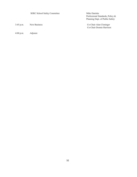|           | <b>SERC School Safety Committee</b> | Mike Daniska                     |
|-----------|-------------------------------------|----------------------------------|
|           |                                     | Professional Standards, Policy & |
|           |                                     | Planning Dept. of Public Safety  |
| 3:45 p.m. | New Business                        | Co-Chair Alan Cloninger          |
|           |                                     | Co-Chair Donnie Harrison         |
|           |                                     |                                  |

4:00 p.m. Adjourn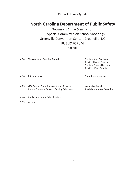SCSS Public Forum Agendas

## **North Carolina Department of Public Safety**

Governor's Crime Commission GCC Special Committee on School Shootings Greenville Convention Center, Greenville, NC PUBLIC FORUM Agenda

| 4:00 | <b>Welcome and Opening Remarks</b>                                                         | Co-chair Alan Cloninger<br>Sheriff - Gaston County<br>Co-chair Donnie Harrison<br>Sheriff - Wake County |
|------|--------------------------------------------------------------------------------------------|---------------------------------------------------------------------------------------------------------|
| 4:10 | <b>Introductions</b>                                                                       | Committee Members                                                                                       |
| 4:25 | GCC Special Committee on School Shootings:<br>Report Contents, Process, Guiding Principles | Joanne McDaniel<br>Special Committee Consultant                                                         |

- 4:40 Public Input about School Safety
- 5:55 Adjourn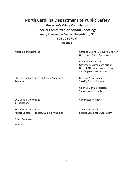## **North Carolina Department of Public Safety**

**Governor's Crime Commission Special Committee on School Shootings Koury Convention Center, Greensboro, NC PUBLIC FORUM Agenda**

Welcome and Remarks **Caroline Valand, Executive Director** Caroline Valand, Executive Director Governor's Crime Commission Robert Evans, Chair Governor's Crime Commission District Attorney – Wilson, Nash, and Edgecombe Counties 4:10 GCC Special Committee on School Shootings Co-chair Alan Cloninger Remarks **Sheriff**, Gaston County Co-chair Donnie Harrison Sheriff, Wake County

4:15 GCC Special Committee Committee Members **Introductions** 

4:25 GCC Special Committee Joanne McDaniel Report Contents, Process, Guiding Principles Special Committee Consultant

Public Comments

Adjourn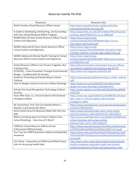## Resources Used By The SCSS

| Resources                                               | <b>Resource Links</b>                                  |
|---------------------------------------------------------|--------------------------------------------------------|
| North Carolina School Resource Officer Survey           | http://www.ncpublicschools.org/docs/cfss/law-          |
|                                                         | enforcement/2018-srosurvey.pdf                         |
| A Guide to Developing, Maintaining, and Succeeding      | https://popcenter.asu.edu/sites/default/files/Response |
| with Your School Resource Officer Program               | s/school_police/PDFs/Finn_et_al_2005.pdf               |
| NASRO Basic 40-Hour School Resource Officer Course      | https://nasro.org/cms/wp-                              |
| <b>Outline and Objectives</b>                           | content/uploads/2014/04/NASRO-Basic-Course-            |
|                                                         | Description-and-Outline.pdf                            |
| NASRO Advanced 24-Hour School Resource Officer          | https://nasro.org/cms/wp-                              |
| <b>Course Outline and Objectives</b>                    | content/uploads/2014/04/NASRO-ADVANCED-SRO-            |
|                                                         | COURSE-CONTENT-OUTLINE-AND-OBJECTIVES.pdf              |
| NASRO Adolescent Mental Health Training for School      | https://nasro.org/cms/wp-                              |
| Resource Officer Course Outline and Objectives          | content/uploads/2014/04/AMHT-SRO-Course-Outline-       |
|                                                         | and-Objectives.pdf                                     |
| School Resource Officers Can Prevent Tragedies, But     | https://theconversation.com/school-resource-officers-  |
| Training is Key                                         | can-prevent-tragedies-but-training-is-key-93778        |
| CPTED101: Crime Prevention Through Environmental        | http://www.ncef.org/pubs/cpted101.pdf                  |
| Design - Fundamentals for Schools                       |                                                        |
| Guide for Preventing and Responding to School           | https://www.bja.gov/publications/iacp school violence  |
| Violence                                                | .pdf                                                   |
| How To Design a School in the Era of Mass Shootings     | https://www.cnn.com/2018/08/15/health/school-          |
|                                                         | design-era-mass-shootings-trnd/index.html              |
| Schools Eye Facial Recognition Technology to Boost      | https://www.apnews.com/44c1e832981042feaddff48e        |
| Security                                                | e1d337fb                                               |
| Years After Sept. 11, Critical Incidents Still Overload | https://www.npr.org/2018/03/12/591906701/18-years-     |
| <b>Emergency Radios</b>                                 | after-sept-11-critical-incidents-still-overload-       |
|                                                         | emergency-radios                                       |
| NC School Buys Tech That Can Identify Where a           | https://www.newsobserver.com/news/local/education/     |
| Shooter Is and Sound the Alarm                          | article215789140.html                                  |
| Some School Security Measures Make Kids Feel Less       | https://www.businessinsider.com/r-some-school-         |
| Safe                                                    | security-measures-make-kids-feel-less-safe-2018-9      |
|                                                         |                                                        |
| Billions Are Being Spent to Protect Children from       | https://www.washingtonpost.com/graphics/2018/local/    |
| School Shootings. Does Any of It Work?                  | school-shootings-and-campus-safety-                    |
|                                                         | industry/?utm_term=.36517c8a2c47                       |
| FERPA for School Resource Officers & Law                | https://www.educateiowa.gov/sites/files/ed/document    |
| Enforcement Officials (Iowa)                            | s/FERPA%20for%20SROs%20FINAL%2002.24.16.pdf            |
| Your Top Ten FERPA Questions Asked and (Hopefully)      | https://www.nsba.org/sites/default/files/reports/Top%  |
| Answered                                                | 2010%20FERPA%20Questions%20Asked%20and%20Ans           |
|                                                         | wered.pdf                                              |
| Fact Sheet: Comparison of FERPA and HIPAA Privacy       | http://www.astho.org/programs/preparedness/public-     |
| Rule for Accessing Health Data                          | health-emergency-law/public-health-and-schools-        |
|                                                         | toolkit/comparison-of-ferpa-and-hipaa-privacy-rule/    |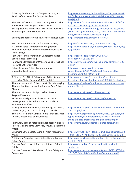| Balancing Student Privacy, Campus Security, and       | http://www.aascu.org/uploadedFiles/AASCU/Content/R         |
|-------------------------------------------------------|------------------------------------------------------------|
| Public Safety: Issues for Campus Leaders              | oot/PolicyAndAdvocacy/PolicyPublications/08 perspect       |
|                                                       | ives(1).pdf                                                |
| The Teacher's Guide to Understanding FERPA: The       | https://www.fordham.edu/download/downloads/id/18           |
| Family Educational Rights and Privacy Act             | 53/07b - teachers guide to ferpa.pdf                       |
| Sharing Student Information with Police: Balancing    | https://www.americanbar.org/content/dam/aba/events         |
| <b>Student Rights with School Safety</b>              | /state local government/2012/10/2012 fall councilme        |
|                                                       | eting/Daggett Paper.authcheckdam.pdf                       |
| Ensuring School Safety While Also Protecting Privacy  | https://ferpasherpa.org/schoolsafety1/                     |
|                                                       |                                                            |
| EDC: Promote / Prevent: Information Sharing           | http://informationsharing.promoteprevent.org/              |
| A Uniform State Memorandum of Agreement               | https://www.state.nj.us/education/schools/security/reg     |
| Between Education and Law Enforcement Officials       | s/agree.pdf                                                |
| (New Jersey)                                          |                                                            |
| Fact Sheet: Memorandum of Understanding for           | https://cops.usdoj.gov/pdf/2014 MOU-                       |
| <b>School-Based Partnerships</b>                      | FactSheet v3 092513.pdf                                    |
| Improving Memoranda of Understanding for School       | https://www.iasb.com/law/nsbaimprovingmouforsro20          |
| <b>Resource Officer Services</b>                      | 14.pdf                                                     |
| School Resource Officer Memorandum of                 | http://www.ncpolicywatch.com/wp-                           |
| <b>Understanding Example</b>                          | content/uploads/2017/06/School-Resource-Officer-           |
|                                                       | Program-MOU-2017.Draft_.pdf                                |
| A Study of Pre-Attack Behaviors of Active Shooters in | https://www.fbi.gov/file-repository/pre-attack-            |
| the United States Between 2001 and 2013               | behaviors-of-active-shooters-in-us-2000-2013.pdf/view      |
| Threat Assessment in Schools: A Guide to Managing     | https://www2.ed.gov/admins/lead/safety/threatassess        |
| Threatening Situations and to Creating Safe School    | mentguide.pdf                                              |
| Climates                                              |                                                            |
| Threat Assessment: An Approach to Prevent             | https://www.ncjrs.gov/pdffiles/threat.pdf                  |
| <b>Targeted Violence</b>                              |                                                            |
| Protective Intelligence & Threat Assessment           | https://www.ncjrs.gov/pdffiles1/nij/179981.pdf             |
| Investigation: A Guide for State and Local Law        |                                                            |
| <b>Enforcement Officials</b>                          |                                                            |
| Making Prevention a Reality: Identifying, Assessing,  | https://www.fbi.gov/file-repository/making-prevention-     |
| and Managing the Threat of Targeted Attacks           | a-reality.pdf/view                                         |
| Threat Assessment in Virginia Public Schools: Model   | https://www.dcjs.virginia.gov/sites/dcjs.virginia.gov/file |
| Policies, Procedures, and Guidelines                  | s/publications/law-enforcement/threat-assessment-          |
|                                                       | model-policies-procedures-and-guidelinespdf.pdf            |
| Prior Knowledge of Potential School-Based Violence    | https://rems.ed.gov/docs/doe_bystanderstudy.pdf            |
| (Information Students Learn May Prevent a Targeted    |                                                            |
| Attack)                                               |                                                            |
| Enhancing School Safety Using a Threat Assessment     | https://www.dhs.gov/sites/default/files/publications/18    |
| Model                                                 | 0711 USSS NTAC-Enhancing-School-Safety-Guide.pdf           |
| NC General Assembly House Select Committee on         | https://www.ncleg.gov/Committees/CommitteeInfo/Ho          |
| <b>School Safety</b>                                  | useSelect/190                                              |
| National Conference of State Legislatures: School     | http://www.ncsl.org/research/education/school-             |
| Safety                                                | safety.aspx                                                |
| National Governors' Association: School Safety and    | https://www.nga.org/wp-content/uploads/2018/09/09-         |
| Prevention                                            | 17-18-ED-School-Safety-Webinar-Presentation.pdf            |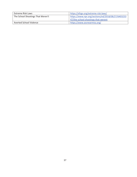| Extreme Risk Laws                 | https://efsgv.org/extreme-risk-laws/               |
|-----------------------------------|----------------------------------------------------|
| The School Shootings That Weren't | https://www.npr.org/sections/ed/2018/08/27/6403233 |
|                                   | 47/the-school-shootings-that-werent                |
| Averted School Violence           | https://www.asvnearmiss.org/                       |